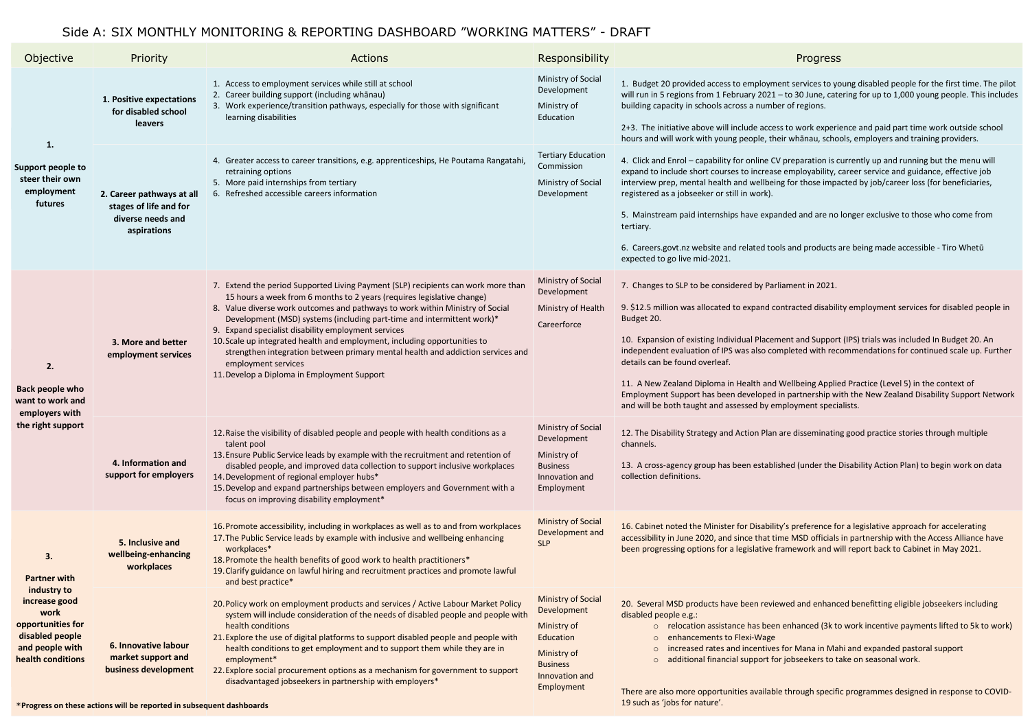# Side A: SIX MONTHLY MONITORING & REPORTING DASHBOARD "WORKING MATTERS" - DRAFT

| Objective                                                                                                                                         | Priority                                                                                | <b>Actions</b>                                                                                                                                                                                                                                                                                                                                                                                                                                                                                                                                                                                                      | Responsibility                                                                                                                         | Progress                                                                                                                                                                                                                                                                                                                                                                                                                                                                                   |
|---------------------------------------------------------------------------------------------------------------------------------------------------|-----------------------------------------------------------------------------------------|---------------------------------------------------------------------------------------------------------------------------------------------------------------------------------------------------------------------------------------------------------------------------------------------------------------------------------------------------------------------------------------------------------------------------------------------------------------------------------------------------------------------------------------------------------------------------------------------------------------------|----------------------------------------------------------------------------------------------------------------------------------------|--------------------------------------------------------------------------------------------------------------------------------------------------------------------------------------------------------------------------------------------------------------------------------------------------------------------------------------------------------------------------------------------------------------------------------------------------------------------------------------------|
| 1.<br>Support people to<br>steer their own<br>employment<br>futures                                                                               | 1. Positive expectations<br>for disabled school<br>leavers                              | 1. Access to employment services while still at school<br>2. Career building support (including whānau)<br>3. Work experience/transition pathways, especially for those with significant<br>learning disabilities                                                                                                                                                                                                                                                                                                                                                                                                   | Ministry of Social<br>Development<br>Ministry of<br>Education                                                                          | 1. Budget 20 provided access to employment services to yo<br>will run in 5 regions from 1 February 2021 - to 30 June, cate<br>building capacity in schools across a number of regions.<br>2+3. The initiative above will include access to work experi-<br>hours and will work with young people, their whanau, scho                                                                                                                                                                       |
|                                                                                                                                                   | 2. Career pathways at all<br>stages of life and for<br>diverse needs and<br>aspirations | 4. Greater access to career transitions, e.g. apprenticeships, He Poutama Rangatahi,<br>retraining options<br>5. More paid internships from tertiary<br>6. Refreshed accessible careers information                                                                                                                                                                                                                                                                                                                                                                                                                 | <b>Tertiary Education</b><br>Commission<br>Ministry of Social<br>Development                                                           | 4. Click and Enrol - capability for online CV preparation is c<br>expand to include short courses to increase employability, or<br>interview prep, mental health and wellbeing for those impa<br>registered as a jobseeker or still in work).<br>5. Mainstream paid internships have expanded and are no<br>tertiary.<br>6. Careers.govt.nz website and related tools and products a<br>expected to go live mid-2021.                                                                      |
| 2.<br>Back people who<br>want to work and<br>employers with<br>the right support                                                                  | 3. More and better<br>employment services                                               | 7. Extend the period Supported Living Payment (SLP) recipients can work more than<br>15 hours a week from 6 months to 2 years (requires legislative change)<br>8. Value diverse work outcomes and pathways to work within Ministry of Social<br>Development (MSD) systems (including part-time and intermittent work)*<br>9. Expand specialist disability employment services<br>10. Scale up integrated health and employment, including opportunities to<br>strengthen integration between primary mental health and addiction services and<br>employment services<br>11. Develop a Diploma in Employment Support | Ministry of Social<br>Development<br>Ministry of Health<br>Careerforce                                                                 | 7. Changes to SLP to be considered by Parliament in 2021.<br>9. \$12.5 million was allocated to expand contracted disabili<br>Budget 20.<br>10. Expansion of existing Individual Placement and Support<br>independent evaluation of IPS was also completed with rec<br>details can be found overleaf.<br>11. A New Zealand Diploma in Health and Wellbeing Applie<br>Employment Support has been developed in partnership wi<br>and will be both taught and assessed by employment special |
|                                                                                                                                                   | 4. Information and<br>support for employers                                             | 12. Raise the visibility of disabled people and people with health conditions as a<br>talent pool<br>13. Ensure Public Service leads by example with the recruitment and retention of<br>disabled people, and improved data collection to support inclusive workplaces<br>14. Development of regional employer hubs*<br>15. Develop and expand partnerships between employers and Government with a<br>focus on improving disability employment*                                                                                                                                                                    | <b>Ministry of Social</b><br>Development<br>Ministry of<br><b>Business</b><br>Innovation and<br>Employment                             | 12. The Disability Strategy and Action Plan are disseminatin<br>channels.<br>13. A cross-agency group has been established (under the I<br>collection definitions.                                                                                                                                                                                                                                                                                                                         |
| 3.<br><b>Partner with</b><br>industry to<br>increase good<br>work<br>opportunities for<br>disabled people<br>and people with<br>health conditions | 5. Inclusive and<br>wellbeing-enhancing<br>workplaces                                   | 16. Promote accessibility, including in workplaces as well as to and from workplaces<br>17. The Public Service leads by example with inclusive and wellbeing enhancing<br>workplaces*<br>18. Promote the health benefits of good work to health practitioners*<br>19. Clarify guidance on lawful hiring and recruitment practices and promote lawful<br>and best practice*                                                                                                                                                                                                                                          | <b>Ministry of Social</b><br>Development and<br><b>SLP</b>                                                                             | 16. Cabinet noted the Minister for Disability's preference for<br>accessibility in June 2020, and since that time MSD officials<br>been progressing options for a legislative framework and w                                                                                                                                                                                                                                                                                              |
|                                                                                                                                                   | 6. Innovative labour<br>market support and<br>business development                      | 20. Policy work on employment products and services / Active Labour Market Policy<br>system will include consideration of the needs of disabled people and people with<br>health conditions<br>21. Explore the use of digital platforms to support disabled people and people with<br>health conditions to get employment and to support them while they are in<br>employment*<br>22. Explore social procurement options as a mechanism for government to support<br>disadvantaged jobseekers in partnership with employers*                                                                                        | <b>Ministry of Social</b><br>Development<br>Ministry of<br>Education<br>Ministry of<br><b>Business</b><br>Innovation and<br>Employment | 20. Several MSD products have been reviewed and enhanc<br>disabled people e.g.:<br>o relocation assistance has been enhanced (3k to<br>enhancements to Flexi-Wage<br>increased rates and incentives for Mana in Mal<br>additional financial support for jobseekers to ta<br>$\circ$<br>There are also more opportunities available through specifi                                                                                                                                         |

nent services to young disabled people for the first time. The pilot  $1 -$  to 30 June, catering for up to 1,000 young people. This includes ber of regions.

ess to work experience and paid part time work outside school heir whānau, schools, employers and training providers.

V preparation is currently up and running but the menu will se employability, career service and guidance, effective job ing for those impacted by job/career loss (for beneficiaries,

anded and are no longer exclusive to those who come from

ols and products are being made accessible - Tiro Whetū

ontracted disability employment services for disabled people in

ment and Support (IPS) trials was included In Budget 20. An ompleted with recommendations for continued scale up. Further

I Wellbeing Applied Practice (Level 5) in the context of I in partnership with the New Zealand Disability Support Network mployment specialists.

12. are disseminating good practice stories through multiple

lished (under the Disability Action Plan) to begin work on data

ity's preference for a legislative approach for accelerating ime MSD officials in partnership with the Access Alliance have framework and will report back to Cabinet in May 2021.

ewed and enhanced benefitting eligible jobseekers including

en enhanced (3k to work incentive payments lifted to 5k to work)

es for Mana in Mahi and expanded pastoral support or jobseekers to take on seasonal work.

Ile through specific programmes designed in response to COVID-